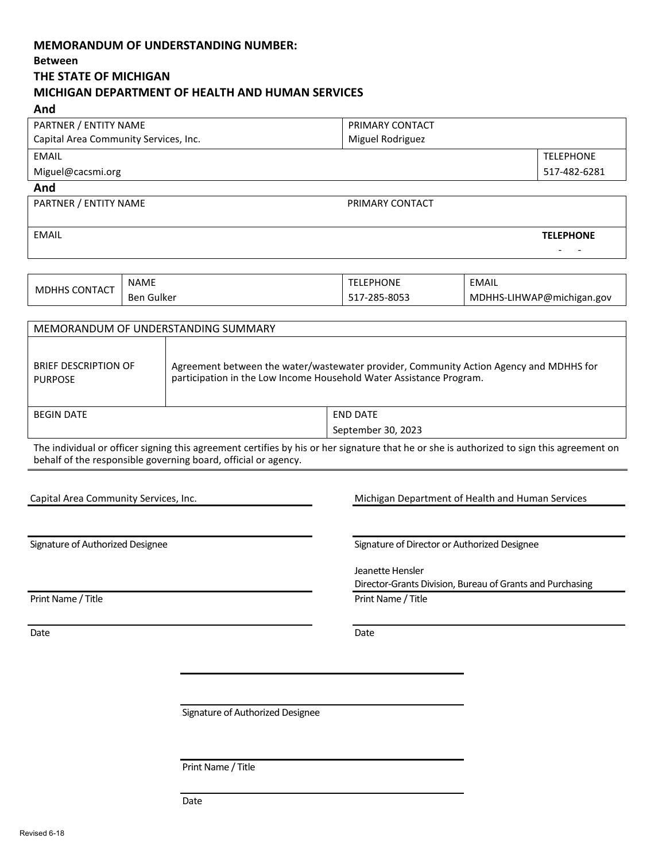# **MEMORANDUM OF UNDERSTANDING NUMBER: Between**

# **THE STATE OF MICHIGAN MICHIGAN DEPARTMENT OF HEALTH AND HUMAN SERVICES**

<span id="page-0-0"></span>

| And                                                                                                                                                                                                            |                                                                                                                                                                                                             |                                                                               |                           |  |
|----------------------------------------------------------------------------------------------------------------------------------------------------------------------------------------------------------------|-------------------------------------------------------------------------------------------------------------------------------------------------------------------------------------------------------------|-------------------------------------------------------------------------------|---------------------------|--|
| PARTNER / ENTITY NAME                                                                                                                                                                                          |                                                                                                                                                                                                             | PRIMARY CONTACT                                                               |                           |  |
| Capital Area Community Services, Inc.                                                                                                                                                                          |                                                                                                                                                                                                             | Miguel Rodriguez                                                              |                           |  |
| <b>EMAIL</b>                                                                                                                                                                                                   |                                                                                                                                                                                                             |                                                                               | <b>TELEPHONE</b>          |  |
| Miguel@cacsmi.org                                                                                                                                                                                              |                                                                                                                                                                                                             |                                                                               | 517-482-6281              |  |
| And                                                                                                                                                                                                            |                                                                                                                                                                                                             |                                                                               |                           |  |
| PARTNER / ENTITY NAME                                                                                                                                                                                          |                                                                                                                                                                                                             | PRIMARY CONTACT                                                               |                           |  |
| <b>EMAIL</b>                                                                                                                                                                                                   |                                                                                                                                                                                                             |                                                                               | <b>TELEPHONE</b>          |  |
| <b>NAME</b>                                                                                                                                                                                                    |                                                                                                                                                                                                             | <b>TELEPHONE</b>                                                              | <b>EMAIL</b>              |  |
| <b>MDHHS CONTACT</b><br><b>Ben Gulker</b>                                                                                                                                                                      |                                                                                                                                                                                                             | 517-285-8053                                                                  | MDHHS-LIHWAP@michigan.gov |  |
| MEMORANDUM OF UNDERSTANDING SUMMARY                                                                                                                                                                            |                                                                                                                                                                                                             |                                                                               |                           |  |
| <b>BRIEF DESCRIPTION OF</b><br>Agreement between the water/wastewater provider, Community Action Agency and MDHHS for<br>participation in the Low Income Household Water Assistance Program.<br><b>PURPOSE</b> |                                                                                                                                                                                                             |                                                                               |                           |  |
| <b>BEGIN DATE</b>                                                                                                                                                                                              |                                                                                                                                                                                                             | <b>END DATE</b>                                                               |                           |  |
|                                                                                                                                                                                                                |                                                                                                                                                                                                             | September 30, 2023                                                            |                           |  |
|                                                                                                                                                                                                                | The individual or officer signing this agreement certifies by his or her signature that he or she is authorized to sign this agreement on<br>behalf of the responsible governing board, official or agency. |                                                                               |                           |  |
| Capital Area Community Services, Inc.                                                                                                                                                                          |                                                                                                                                                                                                             | Michigan Department of Health and Human Services                              |                           |  |
| Signature of Authorized Designee                                                                                                                                                                               |                                                                                                                                                                                                             | Signature of Director or Authorized Designee                                  |                           |  |
|                                                                                                                                                                                                                |                                                                                                                                                                                                             | Jeanette Hensler<br>Director-Grants Division, Bureau of Grants and Purchasing |                           |  |
| Print Name / Title                                                                                                                                                                                             |                                                                                                                                                                                                             | Print Name / Title                                                            |                           |  |
| Date                                                                                                                                                                                                           |                                                                                                                                                                                                             | Date                                                                          |                           |  |
|                                                                                                                                                                                                                |                                                                                                                                                                                                             |                                                                               |                           |  |
|                                                                                                                                                                                                                |                                                                                                                                                                                                             |                                                                               |                           |  |
| Signature of Authorized Designee                                                                                                                                                                               |                                                                                                                                                                                                             |                                                                               |                           |  |
|                                                                                                                                                                                                                |                                                                                                                                                                                                             |                                                                               |                           |  |
|                                                                                                                                                                                                                | Print Name / Title                                                                                                                                                                                          |                                                                               |                           |  |
|                                                                                                                                                                                                                | Date                                                                                                                                                                                                        |                                                                               |                           |  |

Revised 6-18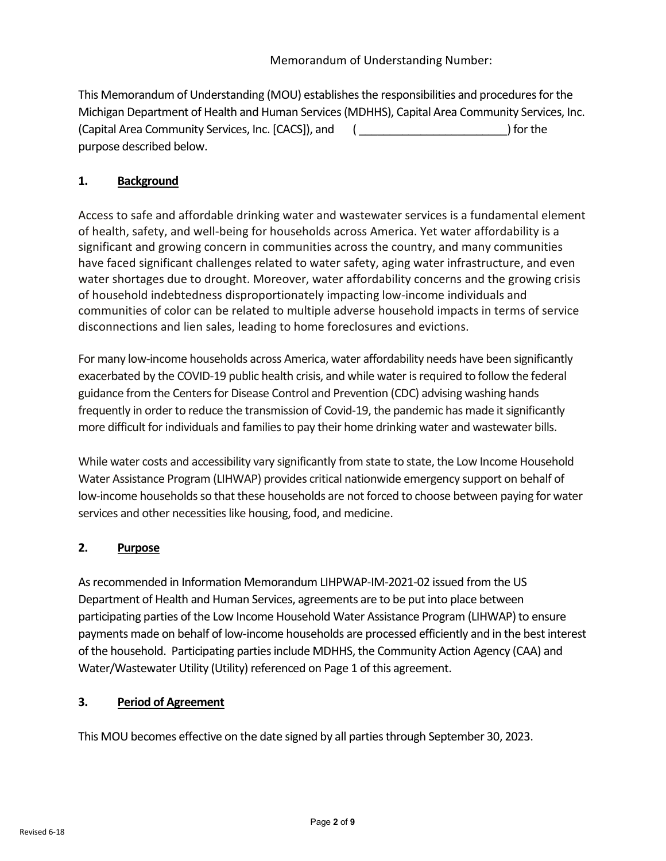<span id="page-1-0"></span>This Memorandum of Understanding (MOU) establishes the responsibilities and procedures for the Michigan Department of Health and Human Services(MDHHS)[, Capital Area Community Services, Inc.](#page-0-0) (Capital Area Community Services, Inc. [CACS]), and ( \_\_\_\_\_\_\_\_\_\_\_\_\_\_\_\_\_\_\_\_\_\_\_\_) for the purpose described below.

# **1. Background**

Access to safe and affordable drinking water and wastewater services is a fundamental element of health, safety, and well-being for households across America. Yet water affordability is a significant and growing concern in communities across the country, and many communities have faced significant challenges related to water safety, aging water infrastructure, and even water shortages due to drought. Moreover, water affordability concerns and the growing crisis of household indebtedness disproportionately impacting low-income individuals and communities of color can be related to multiple adverse household impacts in terms of service disconnections and lien sales, leading to home foreclosures and evictions.

For many low-income households across America, water affordability needs have been significantly exacerbated by the COVID-19 public health crisis, and while water is required to follow the federal guidance from the Centers for Disease Control and Prevention (CDC) advising washing hands frequently in order to reduce the transmission of Covid-19, the pandemic has made it significantly more difficult for individuals and families to pay their home drinking water and wastewater bills.

While water costs and accessibility vary significantly from state to state, the Low Income Household Water Assistance Program (LIHWAP) provides critical nationwide emergency support on behalf of low-income households so that these households are not forced to choose between paying for water services and other necessities like housing, food, and medicine.

# **2. Purpose**

As recommended in Information Memorandum LIHPWAP-IM-2021-02 issued from the US Department of Health and Human Services, agreements are to be put into place between participating parties of the Low Income Household Water Assistance Program (LIHWAP) to ensure payments made on behalf of low-income households are processed efficiently and in the best interest of the household. Participating parties include MDHHS, the Community Action Agency (CAA) and Water/Wastewater Utility (Utility) referenced on Page 1 of this agreement.

# **3. Period of Agreement**

This MOU becomes effective on the date signed by all parties through September 30, 2023.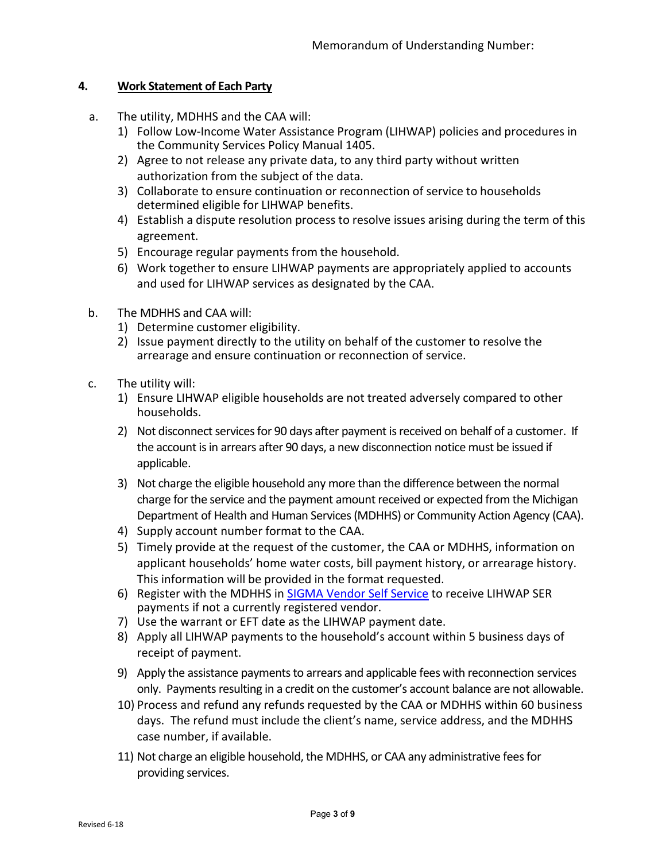### **4. Work Statement of Each Party**

- a. The utility, MDHHS and the CAA will:
	- 1) Follow Low-Income Water Assistance Program (LIHWAP) policies and procedures in the Community Services Policy Manual 1405.
	- 2) Agree to not release any private data, to any third party without written authorization from the subject of the data.
	- 3) Collaborate to ensure continuation or reconnection of service to households determined eligible for LIHWAP benefits.
	- 4) Establish a dispute resolution process to resolve issues arising during the term of this agreement.
	- 5) Encourage regular payments from the household.
	- 6) Work together to ensure LIHWAP payments are appropriately applied to accounts and used for LIHWAP services as designated by the CAA.
- b. The MDHHS and CAA will:
	- 1) Determine customer eligibility.
	- 2) Issue payment directly to the utility on behalf of the customer to resolve the arrearage and ensure continuation or reconnection of service.
- c. The utility will:
	- 1) Ensure LIHWAP eligible households are not treated adversely compared to other households.
	- 2) Not disconnect services for 90 days after payment is received on behalf of a customer. If the account is in arrears after 90 days, a new disconnection notice must be issued if applicable.
	- 3) Not charge the eligible household any more than the difference between the normal charge for the service and the payment amount received or expected from the Michigan Department of Health and Human Services (MDHHS) or Community Action Agency (CAA).
	- 4) Supply account number format to the CAA.
	- 5) Timely provide at the request of the customer, the CAA or MDHHS, information on applicant households' home water costs, bill payment history, or arrearage history. This information will be provided in the format requested.
	- 6) Register with the MDHHS in [SIGMA Vendor Self Service](https://sigma.michigan.gov/webapp/PRDVSS2X1/AltSelfService) to receive LIHWAP SER payments if not a currently registered vendor.
	- 7) Use the warrant or EFT date as the LIHWAP payment date.
	- 8) Apply all LIHWAP payments to the household's account within 5 business days of receipt of payment.
	- 9) Apply the assistance payments to arrears and applicable fees with reconnection services only. Payments resulting in a credit on the customer's account balance are not allowable.
	- 10) Process and refund any refunds requested by the CAA or MDHHS within 60 business days. The refund must include the client's name, service address, and the MDHHS case number, if available.
	- 11) Not charge an eligible household, the MDHHS, or CAA any administrative fees for providing services.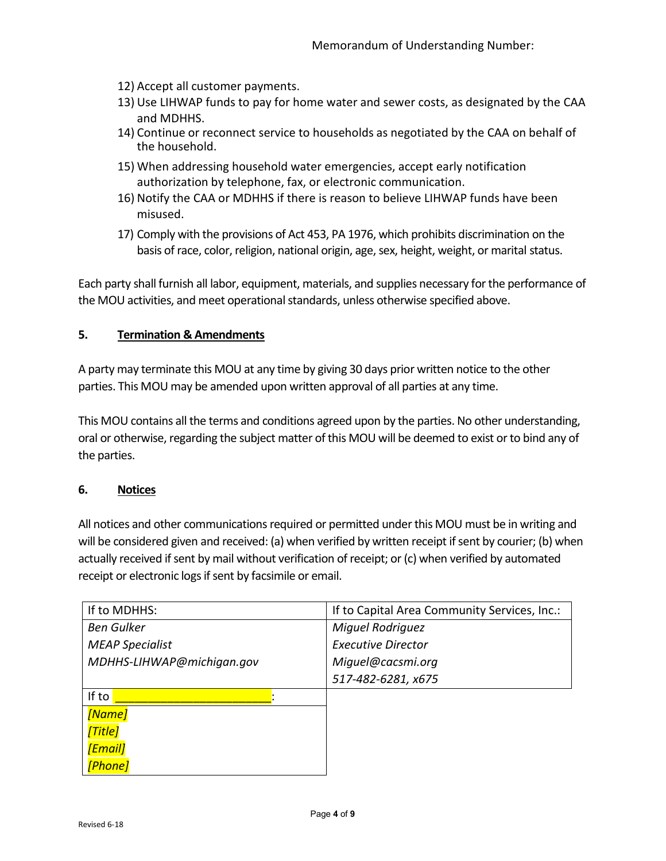- 12) Accept all customer payments.
- 13) Use LIHWAP funds to pay for home water and sewer costs, as designated by the CAA and MDHHS.
- 14) Continue or reconnect service to households as negotiated by the CAA on behalf of the household.
- 15) When addressing household water emergencies, accept early notification authorization by telephone, fax, or electronic communication.
- 16) Notify the CAA or MDHHS if there is reason to believe LIHWAP funds have been misused.
- 17) Comply with the provisions of Act 453, PA 1976, which prohibits discrimination on the basis of race, color, religion, national origin, age, sex, height, weight, or marital status.

Each party shall furnish all labor, equipment, materials, and supplies necessary for the performance of the MOU activities, and meet operational standards, unless otherwise specified above.

#### **5. Termination & Amendments**

A party may terminate this MOU at any time by giving 30 days prior written notice to the other parties. This MOU may be amended upon written approval of all parties at any time.

This MOU contains all the terms and conditions agreed upon by the parties. No other understanding, oral or otherwise, regarding the subject matter of this MOU will be deemed to exist orto bind any of the parties.

#### **6. Notices**

All notices and other communications required or permitted under this MOU must be in writing and will be considered given and received: (a) when verified by written receipt if sent by courier; (b) when actually received if sent by mail without verification of receipt; or (c) when verified by automated receipt or electronic logs if sent by facsimile or email.

| If to MDHHS:              | If to Capital Area Community Services, Inc.: |  |
|---------------------------|----------------------------------------------|--|
| <b>Ben Gulker</b>         | <b>Miguel Rodriguez</b>                      |  |
| <b>MEAP Specialist</b>    | <b>Executive Director</b>                    |  |
| MDHHS-LIHWAP@michigan.gov | Miguel@cacsmi.org                            |  |
|                           | 517-482-6281, x675                           |  |
| If to                     |                                              |  |
| [Name]                    |                                              |  |
| <b>Title</b>              |                                              |  |
| <b>[Email]</b>            |                                              |  |
| [Phone]                   |                                              |  |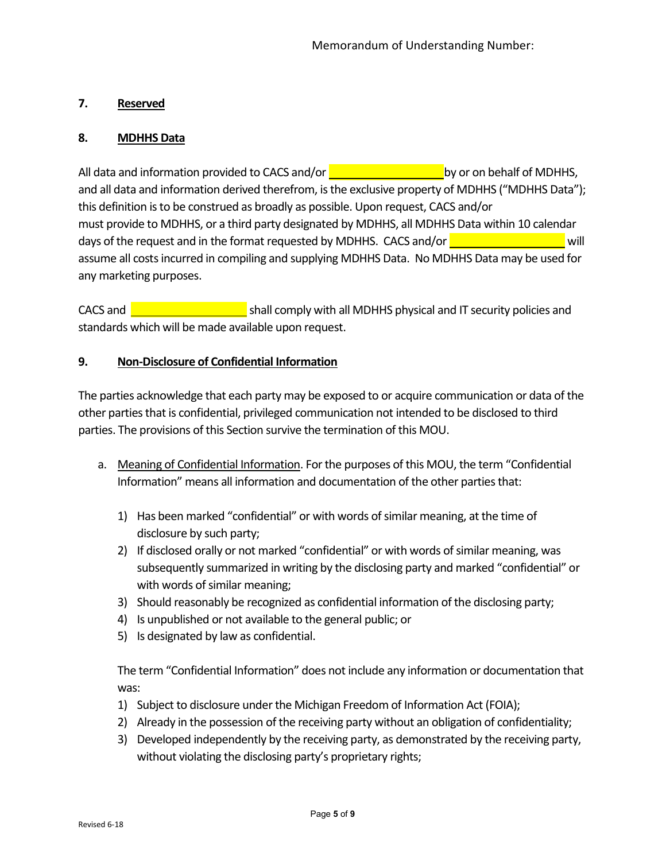## **7. Reserved**

### **8. MDHHS Data**

All data and information provided to CACS and/or  $\frac{1}{\sqrt{2}}$  by or on behalf of MDHHS, and all data and information derived therefrom, is the exclusive property of MDHHS ("MDHHS Data"); this definition is to be construed as broadly as possible. Upon request, CACS and/or must provide to MDHHS, or a third party designated by MDHHS, all MDHHS Data within 10 calendar days of the request and in the format requested by MDHHS. CACS and/or  $\frac{1}{\sqrt{2}}$ assume all costs incurred in compiling and supplying MDHHS Data. No MDHHS Data may be used for any marketing purposes.

CACS and **Shall comply with all MDHHS physical and IT security policies and** standards which will be made available upon request.

#### **9. Non-Disclosure of Confidential Information**

The parties acknowledge that each party may be exposed to or acquire communication or data of the other partiesthat is confidential, privileged communication not intended to be disclosed to third parties. The provisions of this Section survive the termination of this MOU.

- a. Meaning of Confidential Information. For the purposes of this MOU, the term "Confidential Information" means all information and documentation of the other parties that:
	- 1) Has been marked "confidential" or with words of similar meaning, at the time of disclosure by such party;
	- 2) If disclosed orally or not marked "confidential" or with words of similar meaning, was subsequently summarized in writing by the disclosing party and marked "confidential" or with words of similar meaning;
	- 3) Should reasonably be recognized as confidential information of the disclosing party;
	- 4) Is unpublished or not available to the general public; or
	- 5) Is designated by law as confidential.

The term "Confidential Information" does not include any information or documentation that was:

- 1) Subject to disclosure under the Michigan Freedom of Information Act (FOIA);
- 2) Already in the possession of the receiving party without an obligation of confidentiality;
- 3) Developed independently by the receiving party, as demonstrated by the receiving party, without violating the disclosing party's proprietary rights;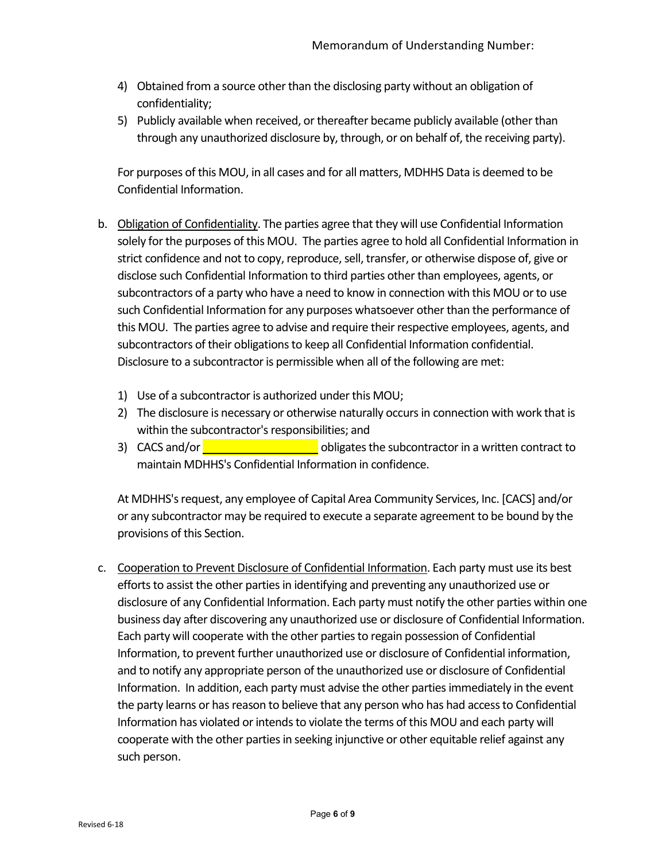- 4) Obtained from a source other than the disclosing party without an obligation of confidentiality;
- 5) Publicly available when received, or thereafter became publicly available (other than through any unauthorized disclosure by, through, or on behalf of, the receiving party).

For purposes of this MOU, in all cases and for all matters, MDHHS Data is deemed to be Confidential Information.

- b. Obligation of Confidentiality. The parties agree that they will use Confidential Information solely for the purposes of this MOU. The parties agree to hold all Confidential Information in strict confidence and not to copy, reproduce, sell, transfer, or otherwise dispose of, give or disclose such Confidential Information to third parties other than employees, agents, or subcontractors of a party who have a need to know in connection with this MOU or to use such Confidential Information for any purposes whatsoever other than the performance of this MOU. The parties agree to advise and require their respective employees, agents, and subcontractors of their obligations to keep all Confidential Information confidential. Disclosure to a subcontractor is permissible when all of the following are met:
	- 1) Use of a subcontractor is authorized under this MOU;
	- 2) The disclosure is necessary or otherwise naturally occurs in connection with work that is within the subcontractor's responsibilities; and
	- 3) CACS and/or **obligates the subcontractor in a written contract to** maintain MDHHS's Confidential Information in confidence.

At MDHHS's request, any employee of Capital Area Community Services, Inc. [CACS] and/or or any subcontractor may be required to execute a separate agreement to be bound by the provisions of this Section.

c. Cooperation to Prevent Disclosure of Confidential Information. Each party must use its best efforts to assist the other parties in identifying and preventing any unauthorized use or disclosure of any Confidential Information. Each party must notify the other parties within one business day after discovering any unauthorized use or disclosure of Confidential Information. Each party will cooperate with the other partiesto regain possession of Confidential Information, to prevent further unauthorized use or disclosure of Confidential information, and to notify any appropriate person of the unauthorized use or disclosure of Confidential Information. In addition, each party must advise the other partiesimmediately in the event the party learns or has reason to believe that any person who has had access to Confidential Information has violated or intends to violate the terms of this MOU and each party will cooperate with the other parties in seeking injunctive or other equitable relief against any such person.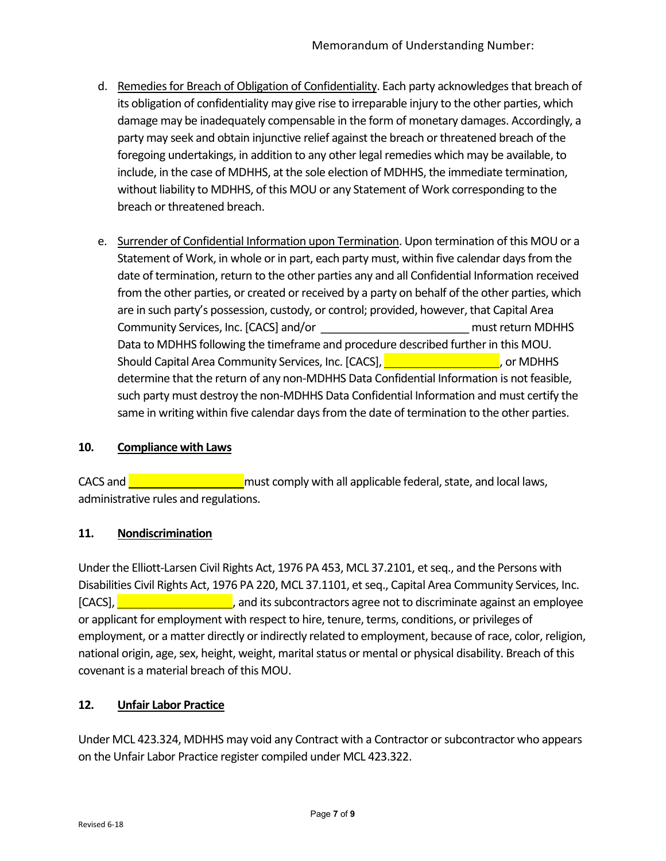- d. Remedies for Breach of Obligation of Confidentiality. Each party acknowledges that breach of its obligation of confidentiality may give rise to irreparable injury to the other parties, which damage may be inadequately compensable in the form of monetary damages. Accordingly, a party may seek and obtain injunctive relief against the breach or threatened breach of the foregoing undertakings, in addition to any other legal remedies which may be available, to include, in the case of MDHHS, at the sole election of MDHHS, the immediate termination, without liability to MDHHS, of this MOU or any Statement of Work corresponding to the breach or threatened breach.
- e. Surrender of Confidential Information upon Termination. Upon termination of this MOU or a Statement of Work, in whole or in part, each party must, within five calendar days from the date of termination, return to the other parties any and all Confidential Information received from the other parties, or created or received by a party on behalf of the other parties, which are in such party's possession, custody, or control; provided, however, that Capital Area Community Services, Inc. [CACS] and/o[r \\_\\_\\_\\_\\_\\_\\_\\_\\_\\_\\_\\_\\_\\_\\_\\_\\_\\_\\_\\_\\_\\_\\_\\_](#page-1-0) must return MDHHS Data to MDHHS following the timeframe and procedure described further in this MOU. Should Capital Area Community Services, Inc. [CACS], **Community Services, Inc.** [CACS], **Community**, or MDHHS determine that the return of any non-MDHHS Data Confidential Information is not feasible, such party must destroy the non-MDHHS Data Confidential Information and must certify the same in writing within five calendar days from the date of termination to the other parties.

# **10. Compliance with Laws**

CACS and **CACS** and **CACS** and **Must comply with all applicable federal**, state, and local laws, administrative rules and regulations.

#### **11. Nondiscrimination**

Under the Elliott-Larsen Civil Rights Act, 1976 PA 453, MCL 37.2101, et seq., and the Persons with Disabilities Civil Rights Act, 1976 PA 220, MCL 37.1101, et seq., Capital Area Community Services, Inc.  $[CACS]$ ,  $\blacksquare$  , and its subcontractors agree not to discriminate against an employee or applicant for employment with respect to hire, tenure, terms, conditions, or privileges of employment, or a matter directly or indirectly related to employment, because of race, color, religion, national origin, age, sex, height, weight, marital status or mental or physical disability. Breach of this covenant is a material breach of this MOU.

#### **12. Unfair Labor Practice**

Under MCL 423.324, MDHHS may void any Contract with a Contractor or subcontractor who appears on the Unfair Labor Practice register compiled under MCL 423.322.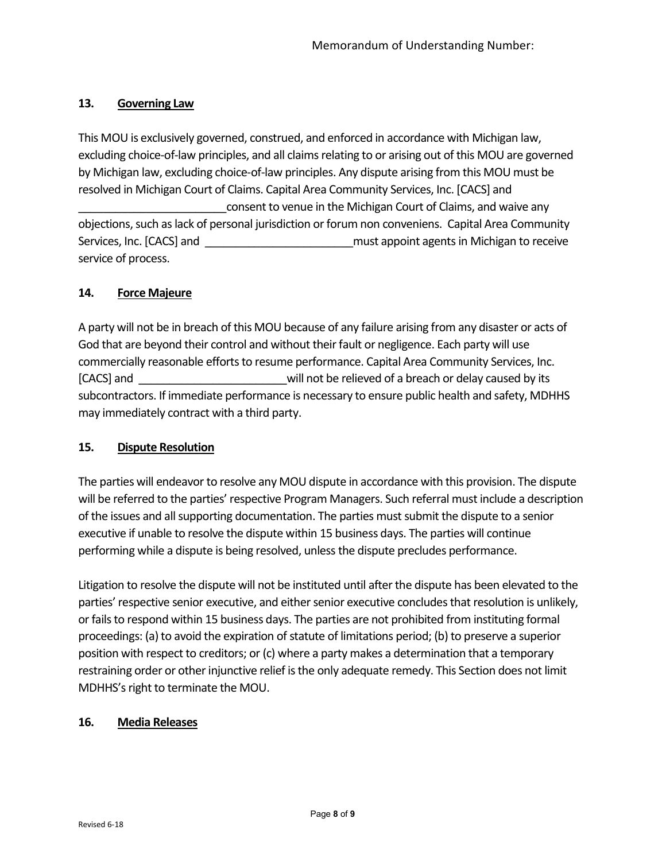### **13. Governing Law**

This MOU is exclusively governed, construed, and enforced in accordance with Michigan law, excluding choice-of-law principles, and all claims relating to or arising out of this MOU are governed by Michigan law, excluding choice-of-law principles. Any dispute arising from this MOU must be resolved in Michigan Court of Claims. Capital Area Community Services, Inc. [CACS] and consent to venue in the Michigan Court of Claims, and waive any objections, such as lack of personal jurisdiction or forum non conveniens. Capital Area Community Services, Inc. [CACS] and **Exercise 2018** and **a** must appoint agents in Michigan to receive service of process.

### **14. Force Majeure**

A party will not be in breach of this MOU because of any failure arising from any disaster or acts of God that are beyond their control and without their fault or negligence. Each party will use commercially reasonable efforts to resume performance. Capital Area Community Services, Inc. [CACS] and [\\_\\_\\_\\_\\_\\_\\_\\_\\_\\_\\_\\_\\_\\_\\_\\_\\_\\_\\_\\_\\_\\_\\_\\_w](#page-1-0)ill not be relieved of a breach or delay caused by its subcontractors. If immediate performance is necessary to ensure public health and safety, MDHHS may immediately contract with a third party.

#### **15. Dispute Resolution**

The parties will endeavor to resolve any MOU dispute in accordance with this provision. The dispute will be referred to the parties' respective Program Managers. Such referral must include a description of the issues and all supporting documentation. The parties must submit the dispute to a senior executive if unable to resolve the dispute within 15 business days. The parties will continue performing while a dispute is being resolved, unless the dispute precludes performance.

Litigation to resolve the dispute will not be instituted until after the dispute has been elevated to the parties' respective senior executive, and either senior executive concludes that resolution is unlikely, or fails to respond within 15 business days. The parties are not prohibited from instituting formal proceedings: (a) to avoid the expiration of statute of limitations period; (b) to preserve a superior position with respect to creditors; or (c) where a party makes a determination that a temporary restraining order or other injunctive relief is the only adequate remedy. This Section does not limit MDHHS's right to terminate the MOU.

#### **16. Media Releases**